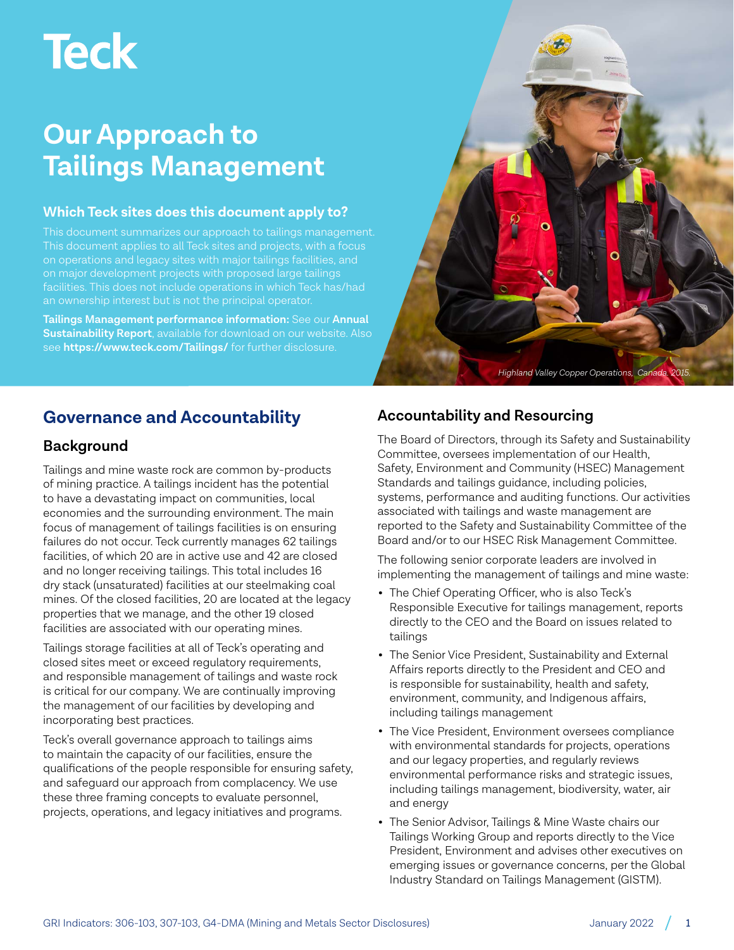# **Teck**

# **Our Approach to Tailings Management**

#### **Which Teck sites does this document apply to?**

This document applies to all Teck sites and projects, with a focus an ownership interest but is not the principal operator.

**Tailings Management performance information:** See our **[Annual](https://www.teck.com/responsibility/approach-to-responsibility/sustainability-report/)  [Sustainability Report](https://www.teck.com/responsibility/approach-to-responsibility/sustainability-report/)**, available for download on our website. Also see **<https://www.teck.com/Tailings/>** for further disclosure.



# **Governance and Accountability**

# **Background**

Tailings and mine waste rock are common by-products of mining practice. A tailings incident has the potential to have a devastating impact on communities, local economies and the surrounding environment. The main focus of management of tailings facilities is on ensuring failures do not occur. Teck currently manages 62 tailings facilities, of which 20 are in active use and 42 are closed and no longer receiving tailings. This total includes 16 dry stack (unsaturated) facilities at our steelmaking coal mines. Of the closed facilities, 20 are located at the legacy properties that we manage, and the other 19 closed facilities are associated with our operating mines.

Tailings storage facilities at all of Teck's operating and closed sites meet or exceed regulatory requirements, and responsible management of tailings and waste rock is critical for our company. We are continually improving the management of our facilities by developing and incorporating best practices.

Teck's overall governance approach to tailings aims to maintain the capacity of our facilities, ensure the qualifications of the people responsible for ensuring safety, and safeguard our approach from complacency. We use these three framing concepts to evaluate personnel, projects, operations, and legacy initiatives and programs.

# **Accountability and Resourcing**

The Board of Directors, through its Safety and Sustainability Committee, oversees implementation of our Health, Safety, Environment and Community (HSEC) Management Standards and tailings guidance, including policies, systems, performance and auditing functions. Our activities associated with tailings and waste management are reported to the Safety and Sustainability Committee of the Board and/or to our HSEC Risk Management Committee.

The following senior corporate leaders are involved in implementing the management of tailings and mine waste:

- The Chief Operating Officer, who is also Teck's Responsible Executive for tailings management, reports directly to the CEO and the Board on issues related to tailings
- The Senior Vice President, Sustainability and External Affairs reports directly to the President and CEO and is responsible for sustainability, health and safety, environment, community, and Indigenous affairs, including tailings management
- The Vice President, Environment oversees compliance with environmental standards for projects, operations and our legacy properties, and regularly reviews environmental performance risks and strategic issues, including tailings management, biodiversity, water, air and energy
- The Senior Advisor, Tailings & Mine Waste chairs our Tailings Working Group and reports directly to the Vice President, Environment and advises other executives on emerging issues or governance concerns, per the Global Industry Standard on Tailings Management (GISTM).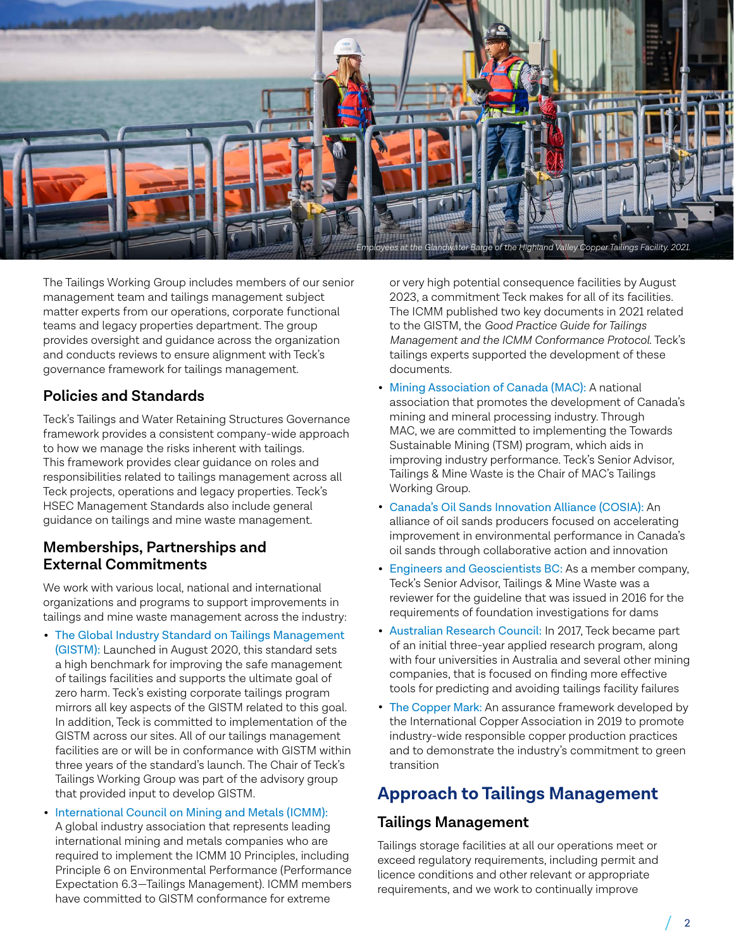

The Tailings Working Group includes members of our senior management team and tailings management subject matter experts from our operations, corporate functional teams and legacy properties department. The group provides oversight and guidance across the organization and conducts reviews to ensure alignment with Teck's governance framework for tailings management.

# **Policies and Standards**

Teck's Tailings and Water Retaining Structures Governance framework provides a consistent company-wide approach to how we manage the risks inherent with tailings. This framework provides clear guidance on roles and responsibilities related to tailings management across all Teck projects, operations and legacy properties. Teck's HSEC Management Standards also include general guidance on tailings and mine waste management.

#### **Memberships, Partnerships and External Commitments**

We work with various local, national and international organizations and programs to support improvements in tailings and mine waste management across the industry:

- [The Global Industry Standard on Tailings Management](https://globaltailingsreview.org/)  [\(GISTM\)](https://globaltailingsreview.org/): Launched in August 2020, this standard sets a high benchmark for improving the safe management of tailings facilities and supports the ultimate goal of zero harm. Teck's existing corporate tailings program mirrors all key aspects of the GISTM related to this goal. In addition, Teck is committed to implementation of the GISTM across our sites. All of our tailings management facilities are or will be in conformance with GISTM within three years of the standard's launch. The Chair of Teck's Tailings Working Group was part of the advisory group that provided input to develop GISTM.
- [International Council on Mining and Metals \(ICMM\):](https://www.icmm.com/en-gb)  A global industry association that represents leading international mining and metals companies who are required to implement the ICMM 10 Principles, including Principle 6 on Environmental Performance (Performance Expectation 6.3—Tailings Management). ICMM members have committed to GISTM conformance for extreme

or very high potential consequence facilities by August 2023, a commitment Teck makes for all of its facilities. The ICMM published two key documents in 2021 related to the GISTM, the *Good Practice Guide for Tailings Management and the ICMM Conformance Protocol*. Teck's tailings experts supported the development of these documents.

- [Mining Association of Canada \(MAC\):](http://mining.ca/) A national association that promotes the development of Canada's mining and mineral processing industry. Through MAC, we are committed to implementing the Towards Sustainable Mining (TSM) program, which aids in improving industry performance. Teck's Senior Advisor, Tailings & Mine Waste is the Chair of MAC's Tailings Working Group.
- [Canada's Oil Sands Innovation Alliance \(COSIA\):](http://www.cosia.ca/) An alliance of oil sands producers focused on accelerating improvement in environmental performance in Canada's oil sands through collaborative action and innovation
- [Engineers and Geoscientists BC:](https://www.egbc.ca/) As a member company, Teck's Senior Advisor, Tailings & Mine Waste was a reviewer for the guideline that was issued in 2016 for the requirements of foundation investigations for dams
- [Australian Research Council:](http://www.arc.gov.au/news-media/media-releases/new-research-training-centre-mining-alloys) In 2017, Teck became part of an initial three-year applied research program, along with four universities in Australia and several other mining companies, that is focused on finding more effective tools for predicting and avoiding tailings facility failures
- [The Copper Mark:](https://coppermark.org/) An assurance framework developed by the International Copper Association in 2019 to promote industry-wide responsible copper production practices and to demonstrate the industry's commitment to green transition

# **Approach to Tailings Management**

### **Tailings Management**

Tailings storage facilities at all our operations meet or exceed regulatory requirements, including permit and licence conditions and other relevant or appropriate requirements, and we work to continually improve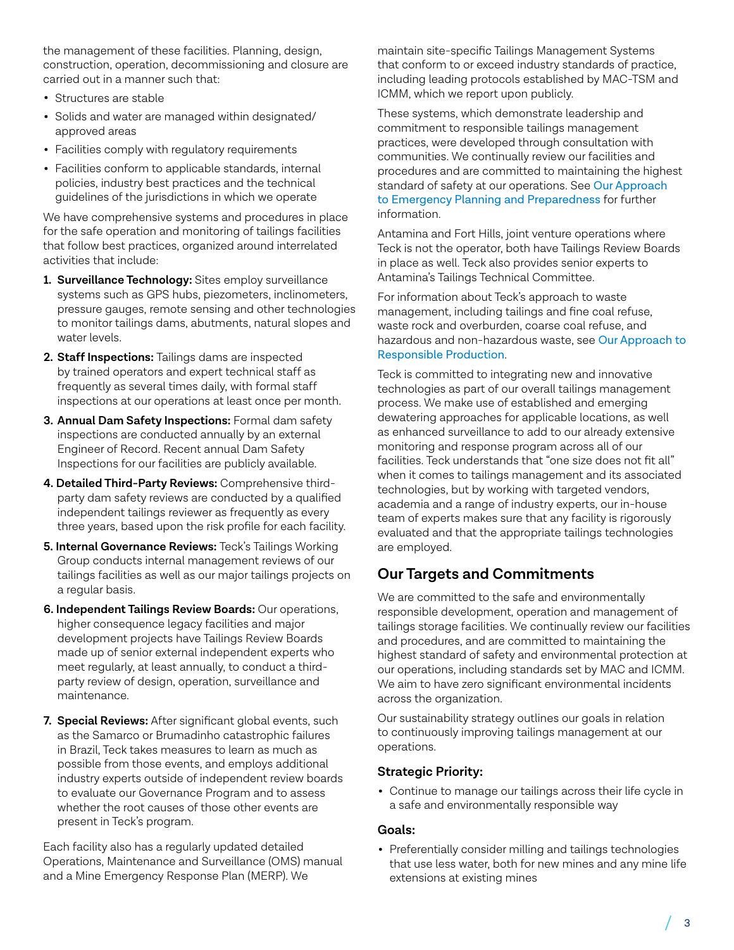the management of these facilities. Planning, design, construction, operation, decommissioning and closure are carried out in a manner such that:

- Structures are stable
- Solids and water are managed within designated/ approved areas
- Facilities comply with regulatory requirements
- Facilities conform to applicable standards, internal policies, industry best practices and the technical guidelines of the jurisdictions in which we operate

We have comprehensive systems and procedures in place for the safe operation and monitoring of tailings facilities that follow best practices, organized around interrelated activities that include:

- **1. Surveillance Technology:** Sites employ surveillance systems such as GPS hubs, piezometers, inclinometers, pressure gauges, remote sensing and other technologies to monitor tailings dams, abutments, natural slopes and water levels.
- **2. Staff Inspections:** Tailings dams are inspected by trained operators and expert technical staff as frequently as several times daily, with formal staff inspections at our operations at least once per month.
- **3. Annual Dam Safety Inspections:** Formal dam safety inspections are conducted annually by an external Engineer of Record. Recent annual Dam Safety Inspections for our facilities are publicly available.
- **4. Detailed Third-Party Reviews:** Comprehensive thirdparty dam safety reviews are conducted by a qualified independent tailings reviewer as frequently as every three years, based upon the risk profile for each facility.
- **5. Internal Governance Reviews:** Teck's Tailings Working Group conducts internal management reviews of our tailings facilities as well as our major tailings projects on a regular basis.
- **6. Independent Tailings Review Boards:** Our operations, higher consequence legacy facilities and major development projects have Tailings Review Boards made up of senior external independent experts who meet regularly, at least annually, to conduct a thirdparty review of design, operation, surveillance and maintenance.
- **7. Special Reviews:** After significant global events, such as the Samarco or Brumadinho catastrophic failures in Brazil, Teck takes measures to learn as much as possible from those events, and employs additional industry experts outside of independent review boards to evaluate our Governance Program and to assess whether the root causes of those other events are present in Teck's program.

Each facility also has a regularly updated detailed Operations, Maintenance and Surveillance (OMS) manual and a Mine Emergency Response Plan (MERP). We

maintain site-specific Tailings Management Systems that conform to or exceed industry standards of practice, including leading protocols established by MAC-TSM and ICMM, which we report upon publicly.

These systems, which demonstrate leadership and commitment to responsible tailings management practices, were developed through consultation with communities. We continually review our facilities and procedures and are committed to maintaining the highest standard of safety at our operations. See [Our Approach](https://www.teck.com/media/teck_approach_to_Emergency_Planning_and_Preparedness_2021.pdf)  [to Emergency Planning and Preparedness](https://www.teck.com/media/teck_approach_to_Emergency_Planning_and_Preparedness_2021.pdf) for further information.

Antamina and Fort Hills, joint venture operations where Teck is not the operator, both have Tailings Review Boards in place as well. Teck also provides senior experts to Antamina's Tailings Technical Committee.

For information about Teck's approach to waste management, including tailings and fine coal refuse, waste rock and overburden, coarse coal refuse, and hazardous and non-hazardous waste, see [Our Approach to](https://www.teck.com/media/teck_approach_to_Responsible_Production_and_Waste_2021.pdf)  [Responsible Production](https://www.teck.com/media/teck_approach_to_Responsible_Production_and_Waste_2021.pdf).

Teck is committed to integrating new and innovative technologies as part of our overall tailings management process. We make use of established and emerging dewatering approaches for applicable locations, as well as enhanced surveillance to add to our already extensive monitoring and response program across all of our facilities. Teck understands that "one size does not fit all" when it comes to tailings management and its associated technologies, but by working with targeted vendors, academia and a range of industry experts, our in-house team of experts makes sure that any facility is rigorously evaluated and that the appropriate tailings technologies are employed.

# **Our Targets and Commitments**

We are committed to the safe and environmentally responsible development, operation and management of tailings storage facilities. We continually review our facilities and procedures, and are committed to maintaining the highest standard of safety and environmental protection at our operations, including standards set by MAC and ICMM. We aim to have zero significant environmental incidents across the organization.

Our sustainability strategy outlines our goals in relation to continuously improving tailings management at our operations.

#### **Strategic Priority:**

• Continue to manage our tailings across their life cycle in a safe and environmentally responsible way

#### **Goals:**

• Preferentially consider milling and tailings technologies that use less water, both for new mines and any mine life extensions at existing mines